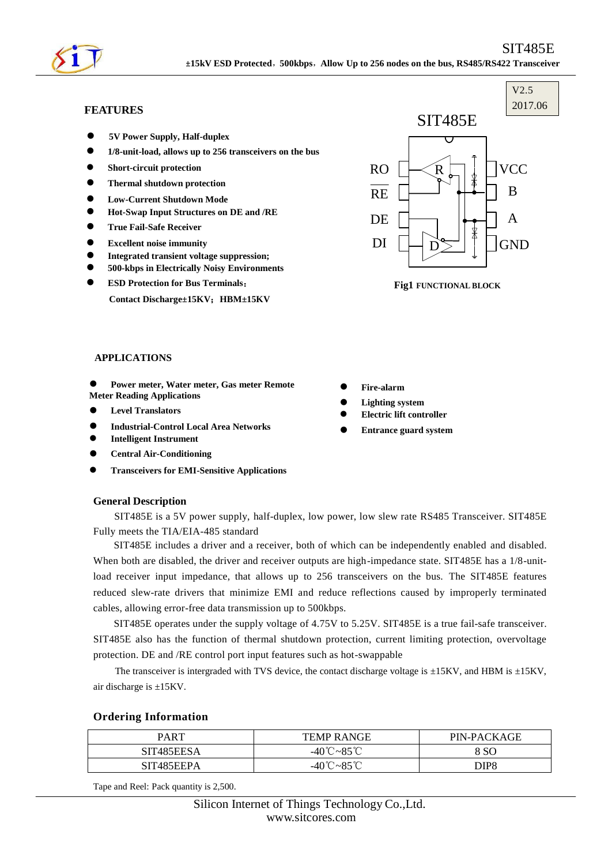

# **FEATURES**

- **5V Power Supply, Half-duplex**
- **1/8-unit-load, allows up to 256 transceivers on the bus**
- **Short-circuit protection**
- **Thermal shutdown protection**
- **Low-Current Shutdown Mode**
- **Hot-Swap Input Structures on DE and /RE**
- **True Fail-Safe Receiver**
- **Excellent noise immunity**
- **Integrated transient voltage suppression;**
- **500-kbps in Electrically Noisy Environments**
- **ESD Protection for Bus Terminals**:

**Contact Discharge±15KV**;**HBM±15KV**



**s**

V2.5

**Fig1 FUNCTIONAL BLOCK**

### **APPLICATIONS**

- **Power meter, Water meter, Gas meter Remote Meter Reading Applications**
- **Level Translators**
- **Industrial-Control Local Area Networks**
- **Intelligent Instrument**
- **Central Air-Conditioning**
- **Transceivers for EMI-Sensitive Applications**

#### **General Description**

SIT485E is a 5V power supply, half-duplex, low power, low slew rate RS485 Transceiver. SIT485E Fully meets the TIA/EIA-485 standard

SIT485E includes a driver and a receiver, both of which can be independently enabled and disabled. When both are disabled, the driver and receiver outputs are high-impedance state. SIT485E has a 1/8-unitload receiver input impedance, that allows up to 256 transceivers on the bus. The SIT485E features reduced slew-rate drivers that minimize EMI and reduce reflections caused by improperly terminated cables, allowing error-free data transmission up to 500kbps.

SIT485E operates under the supply voltage of 4.75V to 5.25V. SIT485E is a true fail-safe transceiver. SIT485E also has the function of thermal shutdown protection, current limiting protection, overvoltage protection. DE and /RE control port input features such as hot-swappable

The transceiver is intergraded with TVS device, the contact discharge voltage is  $\pm$ 15KV, and HBM is  $\pm$ 15KV, air discharge is ±15KV.

#### **Ordering Information**

| PART       | <b>TEMP RANGE</b>                         | PIN-PACKAGE |
|------------|-------------------------------------------|-------------|
| SIT485EESA | -40 $^\circ\text{C}$ ~85 $^\circ\text{C}$ | 8 SC        |
| SIT485EEPA | $Q \subseteq {}^{\circ}C$<br>-40 ∪∼×∼     | DIP8        |

Tape and Reel: Pack quantity is 2,500.

- **Fire-alarm**
- **Lighting system**
- **Electric lift controller**
- **Entrance guard system**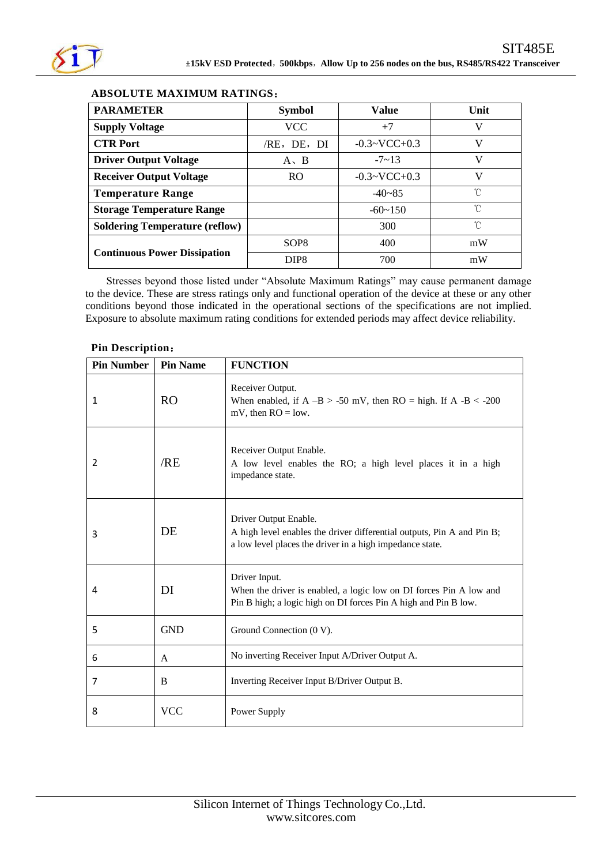

# **ABSOLUTE MAXIMUM RATINGS**:

| <b>PARAMETER</b>                      | <b>Symbol</b>    | <b>Value</b>          | Unit |
|---------------------------------------|------------------|-----------------------|------|
| <b>Supply Voltage</b>                 | VCC              | $+7$                  | V    |
| <b>CTR Port</b>                       | /RE, DE, DI      | $-0.3 \sim VCC + 0.3$ | V    |
| <b>Driver Output Voltage</b>          | $A \cdot B$      | $-7$ $-13$            | V    |
| <b>Receiver Output Voltage</b>        | RO.              | $-0.3 \sim VCC + 0.3$ | V    |
| <b>Temperature Range</b>              |                  | $-40 - 85$            | U    |
| <b>Storage Temperature Range</b>      |                  | $-60 \sim 150$        | n    |
| <b>Soldering Temperature (reflow)</b> |                  | 300                   | °C   |
|                                       | SOP <sub>8</sub> | 400                   | mW   |
| <b>Continuous Power Dissipation</b>   | DIP <sub>8</sub> | 700                   | mW   |

Stresses beyond those listed under "Absolute Maximum Ratings" may cause permanent damage to the device. These are stress ratings only and functional operation of the device at these or any other conditions beyond those indicated in the operational sections of the specifications are not implied. Exposure to absolute maximum rating conditions for extended periods may affect device reliability.

| <b>Pin Number</b> | <b>Pin Name</b> | <b>FUNCTION</b>                                                                                                                                             |
|-------------------|-----------------|-------------------------------------------------------------------------------------------------------------------------------------------------------------|
| 1                 | <b>RO</b>       | Receiver Output.<br>When enabled, if $A - B > -50$ mV, then $RO = high$ . If $A - B < -200$<br>mV, then $RO = low$ .                                        |
| 2                 | /RE             | Receiver Output Enable.<br>A low level enables the RO; a high level places it in a high<br>impedance state.                                                 |
| 3                 | DE              | Driver Output Enable.<br>A high level enables the driver differential outputs, Pin A and Pin B;<br>a low level places the driver in a high impedance state. |
| 4                 | DI              | Driver Input.<br>When the driver is enabled, a logic low on DI forces Pin A low and<br>Pin B high; a logic high on DI forces Pin A high and Pin B low.      |
| 5                 | <b>GND</b>      | Ground Connection (0 V).                                                                                                                                    |
| 6                 | A               | No inverting Receiver Input A/Driver Output A.                                                                                                              |
| 7                 | B               | Inverting Receiver Input B/Driver Output B.                                                                                                                 |
| 8                 | <b>VCC</b>      | Power Supply                                                                                                                                                |

# **Pin Description**: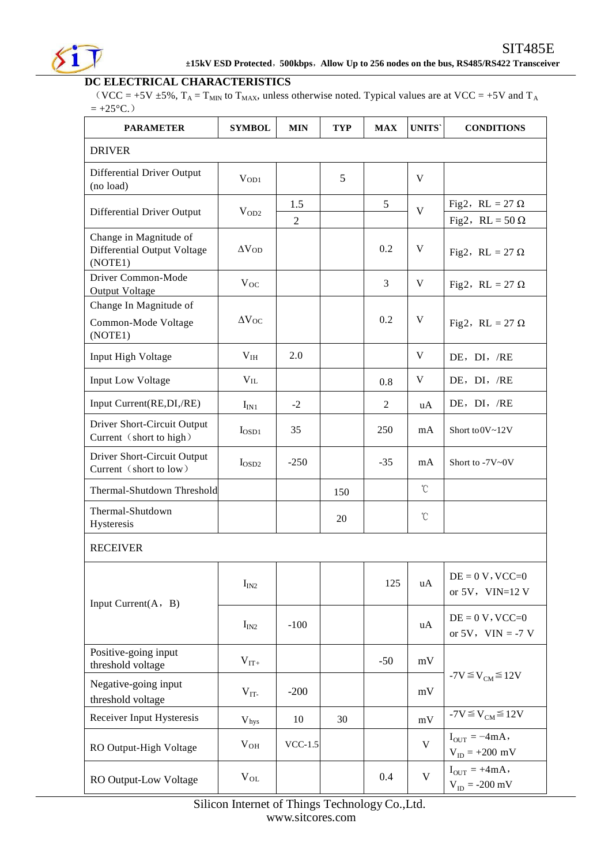

### **DC ELECTRICAL CHARACTERISTICS**

(VCC = +5V  $\pm$ 5%, T<sub>A</sub> = T<sub>MIN</sub> to T<sub>MAX</sub>, unless otherwise noted. Typical values are at VCC = +5V and T<sub>A</sub>  $= +25 \text{ }^{\circ}\text{C}$ .)

| <b>PARAMETER</b>                                                 | <b>SYMBOL</b>             | <b>MIN</b>            | <b>TYP</b> | <b>MAX</b> | <b>UNITS</b>    | <b>CONDITIONS</b>                                |
|------------------------------------------------------------------|---------------------------|-----------------------|------------|------------|-----------------|--------------------------------------------------|
| <b>DRIVER</b>                                                    |                           |                       |            |            |                 |                                                  |
| Differential Driver Output<br>(no load)                          | V <sub>OD1</sub>          |                       | 5          |            | V               |                                                  |
| Differential Driver Output                                       | $V_{OD2}$                 | 1.5<br>$\overline{2}$ |            | 5          | $\overline{V}$  | Fig2, RL = 27 $\Omega$<br>Fig2, RL = $50 \Omega$ |
| Change in Magnitude of<br>Differential Output Voltage<br>(NOTE1) | $\Delta V_{OD}$           |                       |            | 0.2        | V               | Fig2, RL = 27 $\Omega$                           |
| Driver Common-Mode<br>Output Voltage                             | $V_{OC}$                  |                       |            | 3          | V               | Fig2, RL = 27 $\Omega$                           |
| Change In Magnitude of<br>Common-Mode Voltage<br>(NOTE1)         | $\Delta V_{OC}$           |                       |            | 0.2        | V               | Fig2, RL = 27 $\Omega$                           |
| Input High Voltage                                               | $\rm V_{IH}$              | 2.0                   |            |            | V               | DE, DI, /RE                                      |
| <b>Input Low Voltage</b>                                         | $V_{IL}$                  |                       |            | 0.8        | V               | DE, DI, /RE                                      |
| Input Current(RE,DI,/RE)                                         | $I_{IN1}$                 | $-2$                  |            | 2          | uA              | DE, DI, /RE                                      |
| Driver Short-Circuit Output<br>Current (short to high)           | $I_{OSD1}$                | 35                    |            | 250        | mA              | Short to 0V~12V                                  |
| Driver Short-Circuit Output<br>Current (short to low)            | $I_{OSD2}$                | $-250$                |            | $-35$      | mA              | Short to -7V~0V                                  |
| Thermal-Shutdown Threshold                                       |                           |                       | 150        |            | $\mathcal{C}$   |                                                  |
| Thermal-Shutdown<br>Hysteresis                                   |                           |                       | 20         |            | $\rm ^{\circ}C$ |                                                  |
| <b>RECEIVER</b>                                                  |                           |                       |            |            |                 |                                                  |
| Input Current(A, B)                                              | I <sub>IN2</sub>          |                       |            | 125        | uA              | $DE = 0 V$ , VCC=0<br>or $5V$ , $VIN=12V$        |
|                                                                  | I <sub>IN2</sub>          | $-100$                |            |            | uA              | $DE = 0 V$ , VCC=0<br>or $5V$ , $VIN = -7 V$     |
| Positive-going input<br>threshold voltage                        | $V_{IT+}$                 |                       |            | $-50$      | mV              |                                                  |
| Negative-going input<br>threshold voltage                        | $V_{IT}$                  | $-200$                |            |            | mV              | $-7V \leq V_{CM} \leq 12V$                       |
| Receiver Input Hysteresis                                        | $\mathbf{V}_{\text{hys}}$ | 10                    | 30         |            | mV              | $-7V \leq V_{CM} \leq 12V$                       |
| RO Output-High Voltage                                           | $V_{OH}$                  | $VCC-1.5$             |            |            | $\mathbf V$     | $I_{\text{OUT}} = -4mA,$<br>$V_{ID} = +200$ mV   |
| RO Output-Low Voltage                                            | $V_{OL}$                  |                       |            | 0.4        | $\mathbf{V}$    | $I_{OUT} = +4mA,$<br>$V_{ID} = -200 \text{ mV}$  |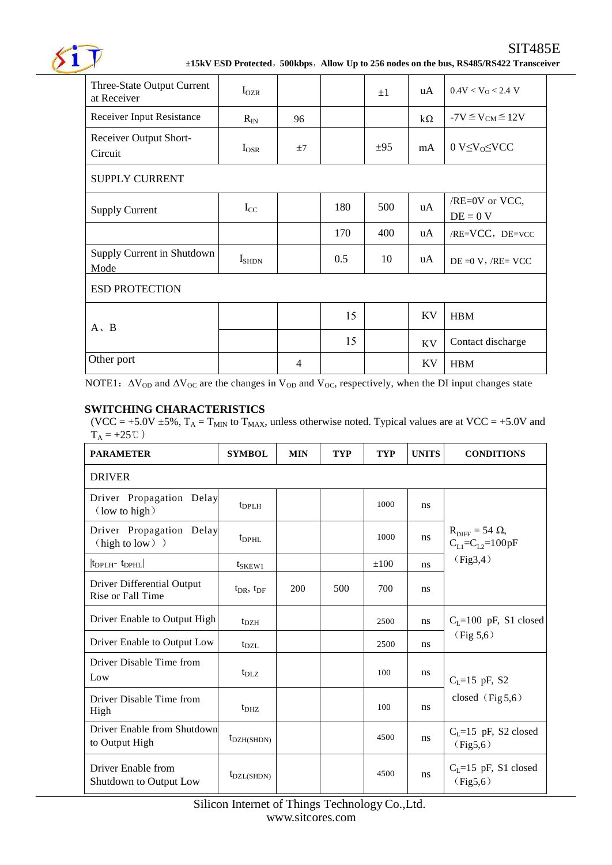

| Three-State Output Current<br>at Receiver | $I_{OZR}$      |                |     | $\pm 1$  | uA        | $0.4$ V < V <sub>0</sub> < 2.4 V |  |
|-------------------------------------------|----------------|----------------|-----|----------|-----------|----------------------------------|--|
| Receiver Input Resistance                 | $R_{IN}$       | 96             |     |          | $k\Omega$ | $-7V \leq V_{CM} \leq 12V$       |  |
| Receiver Output Short-<br>Circuit         | $I_{OSR}$      | ±7             |     | $\pm 95$ | mA        | $0 V \leq V_0 \leq VCC$          |  |
| <b>SUPPLY CURRENT</b>                     |                |                |     |          |           |                                  |  |
| <b>Supply Current</b>                     | $I_{CC}$       |                | 180 | 500      | uA        | /RE=0V or VCC,<br>$DE = 0 V$     |  |
|                                           |                |                | 170 | 400      | uA        | /RE=VCC, DE=VCC                  |  |
| Supply Current in Shutdown<br>Mode        | $I_{\rm SHDN}$ |                | 0.5 | 10       | uA        | $DE = 0 V$ , $/RE = VCC$         |  |
| <b>ESD PROTECTION</b>                     |                |                |     |          |           |                                  |  |
| $A \setminus B$                           |                |                | 15  |          | KV        | <b>HBM</b>                       |  |
|                                           |                |                | 15  |          | KV        | Contact discharge                |  |
| Other port                                |                | $\overline{4}$ |     |          | <b>KV</b> | <b>HBM</b>                       |  |

NOTE1:  $\Delta V_{\text{OD}}$  and  $\Delta V_{\text{OC}}$  are the changes in  $V_{\text{OD}}$  and  $V_{\text{OC}}$ , respectively, when the DI input changes state

# **SWITCHING CHARACTERISTICS**

(VCC = +5.0V  $\pm$ 5%, T<sub>A</sub> = T<sub>MIN</sub> to T<sub>MAX</sub>, unless otherwise noted. Typical values are at VCC = +5.0V and  $T_A = +25^{\circ}\text{C}$ )

| <b>PARAMETER</b>                                   | <b>SYMBOL</b>               | <b>MIN</b> | <b>TYP</b> | <b>TYP</b> | <b>UNITS</b>  | <b>CONDITIONS</b>                                            |  |  |
|----------------------------------------------------|-----------------------------|------------|------------|------------|---------------|--------------------------------------------------------------|--|--|
| <b>DRIVER</b>                                      |                             |            |            |            |               |                                                              |  |  |
| Driver Propagation Delay<br>$\text{(low to high)}$ | $t_{\rm DPLH}$              |            |            | 1000       | ns            |                                                              |  |  |
| Driver Propagation Delay<br>(high to low) )        | $t_{\rm DPHL}$              |            |            | 1000       | ns            | $R_{\text{DIFF}} = 54 \Omega$ ,<br>$C_{L1} = C_{L2} = 100pF$ |  |  |
| $ t_{\rm DPLH^-} t_{\rm DPHL} $                    | $t_{SKEW1}$                 |            |            | $\pm 100$  | <sub>ns</sub> | (Fig3,4)                                                     |  |  |
| Driver Differential Output<br>Rise or Fall Time    | $t_{\rm DR}$ , $t_{\rm DF}$ | 200        | 500        | 700        | ns            |                                                              |  |  |
| Driver Enable to Output High                       | $t_{\rm DZH}$               |            |            | 2500       | ns            | $CI=100$ pF, S1 closed                                       |  |  |
| Driver Enable to Output Low                        | $t_{\rm DZL}$               |            |            | 2500       | ns.           | (Fig 5,6)                                                    |  |  |
| Driver Disable Time from<br>Low                    | $t_{\rm D1,Z}$              |            |            | 100        | ns            | $C_1 = 15$ pF, S2                                            |  |  |
| Driver Disable Time from<br>High                   | t <sub>DHZ</sub>            |            |            | 100        | ns            | closed $(Fig 5,6)$                                           |  |  |
| Driver Enable from Shutdown<br>to Output High      | $t_{\text{DZH(SHDN)}}$      |            |            | 4500       | ns            | $C_L = 15$ pF, S2 closed<br>(Fig5,6)                         |  |  |
| Driver Enable from<br>Shutdown to Output Low       | $t_{\text{DZL(SHDN)}}$      |            |            | 4500       | ns            | $CI=15$ pF, S1 closed<br>(Fig5,6)                            |  |  |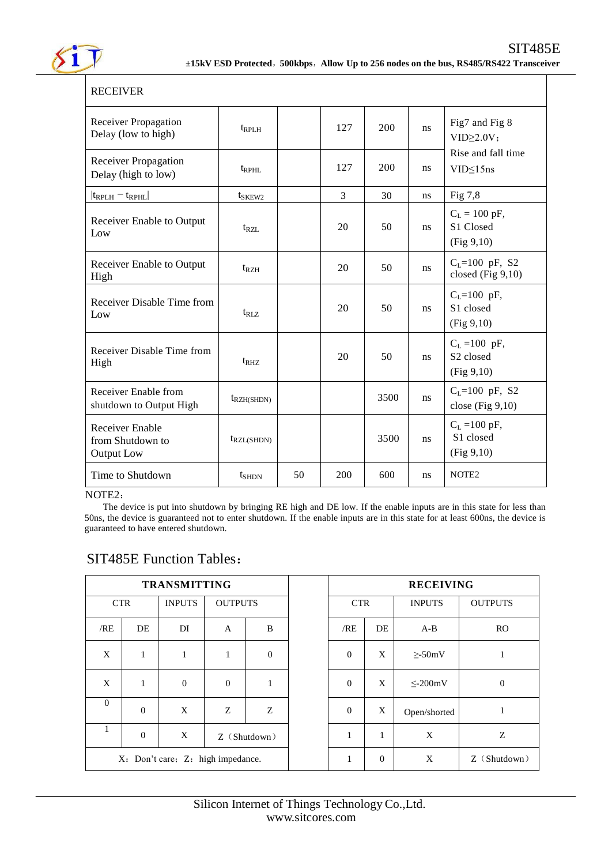

| <b>RECEIVER</b>                                                 |                        |    |                |      |    |                                                                 |
|-----------------------------------------------------------------|------------------------|----|----------------|------|----|-----------------------------------------------------------------|
| <b>Receiver Propagation</b><br>Delay (low to high)              | $t_{RPLH}$             |    | 127            | 200  | ns | Fig7 and Fig 8<br>$VID \geq 2.0V$                               |
| <b>Receiver Propagation</b><br>Delay (high to low)              | $t_{RPHL}$             |    | 127            | 200  | ns | Rise and fall time<br>VID≤15ns                                  |
| $ t_{RPLH} - t_{RPHL} $                                         | t <sub>SKEW2</sub>     |    | $\overline{3}$ | 30   | ns | Fig 7,8                                                         |
| <b>Receiver Enable to Output</b><br>Low                         | $t_{\rm RZL}$          |    | 20             | 50   | ns | $C_L = 100 \text{ pF},$<br>S1 Closed<br>(Fig 9,10)              |
| <b>Receiver Enable to Output</b><br>High                        | $t_{RZH}$              |    | 20             | 50   | ns | $C_L = 100$ pF, S2<br>closed (Fig $9,10$ )                      |
| Receiver Disable Time from<br>Low                               | $t_{RIZ}$              |    | 20             | 50   | ns | $C_{L} = 100$ pF,<br>S1 closed<br>(Fig 9,10)                    |
| Receiver Disable Time from<br>High                              | $t_{RHZ}$              |    | 20             | 50   | ns | $C_L = 100$ pF,<br>S <sub>2</sub> closed<br>(Fig 9,10)          |
| Receiver Enable from<br>shutdown to Output High                 | $t_{\text{RZH(SHDN)}}$ |    |                | 3500 | ns | $C_L = 100$ pF, S2<br>close $(Fig 9,10)$                        |
| <b>Receiver Enable</b><br>from Shutdown to<br><b>Output Low</b> | $t_{RZL(SHDN)}$        |    |                | 3500 | ns | $C_L = 100 \text{ pF}$ ,<br>S <sub>1</sub> closed<br>(Fig 9,10) |
| Time to Shutdown                                                | $t_{\rm SHDN}$         | 50 | 200            | 600  | ns | NOTE <sub>2</sub>                                               |

### NOTE2:

The device is put into shutdown by bringing RE high and DE low. If the enable inputs are in this state for less than 50ns, the device is guaranteed not to enter shutdown. If the enable inputs are in this state for at least 600ns, the device is guaranteed to have entered shutdown.

|                                   |              | <b>TRANSMITTING</b> |                |              | <b>RECEIVING</b> |                |    |               |                |
|-----------------------------------|--------------|---------------------|----------------|--------------|------------------|----------------|----|---------------|----------------|
| <b>CTR</b>                        |              | <b>INPUTS</b>       | <b>OUTPUTS</b> |              |                  | <b>CTR</b>     |    | <b>INPUTS</b> | <b>OUTPUTS</b> |
| /RE                               | DE           | DI                  | $\mathbf{A}$   | B            |                  | /RE            | DE | $A-B$         | <b>RO</b>      |
| X                                 | $\mathbf{1}$ | 1                   | 1              | $\mathbf{0}$ |                  | $\overline{0}$ | X  | $\geq$ -50mV  | 1              |
| X                                 | $\mathbf{1}$ | $\mathbf{0}$        | $\mathbf{0}$   | $\mathbf{1}$ |                  | $\overline{0}$ | X  | $\leq$ -200mV | $\mathbf{0}$   |
| $\Omega$                          | $\mathbf{0}$ | X                   | Z              | Z            |                  | $\overline{0}$ | X  | Open/shorted  | 1              |
| 1                                 | $\mathbf{0}$ | X                   | $Z$ (Shutdown) |              |                  | $\mathbf{1}$   | 1  | X             | Z              |
| X: Don't care; Z: high impedance. |              |                     | 1              | $\Omega$     | X                | Z (Shutdown)   |    |               |                |

# SIT485E Function Tables: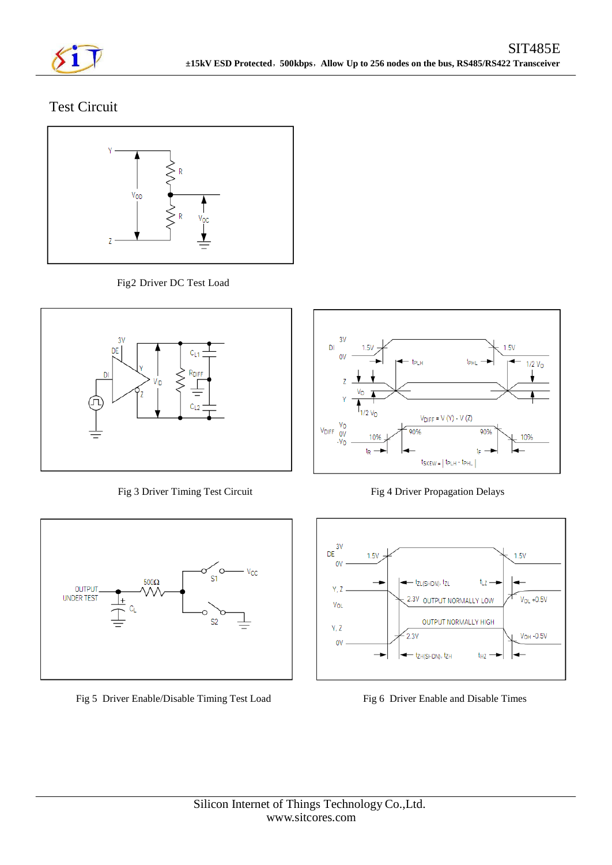

# Test Circuit



Fig2 Driver DC Test Load



Fig 3 Driver Timing Test Circuit Fig 4 Driver Propagation Delays



Fig 5 Driver Enable/Disable Timing Test Load Fig 6 Driver Enable and Disable Times



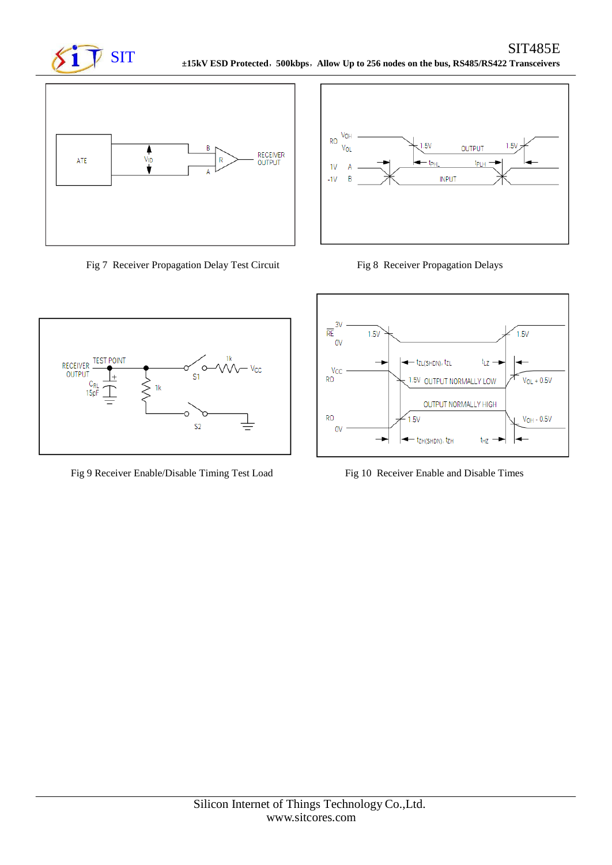



Fig 7 Receiver Propagation Delay Test Circuit Fig 8 Receiver Propagation Delays





Fig 9 Receiver Enable/Disable Timing Test Load Fig 10 Receiver Enable and Disable Times

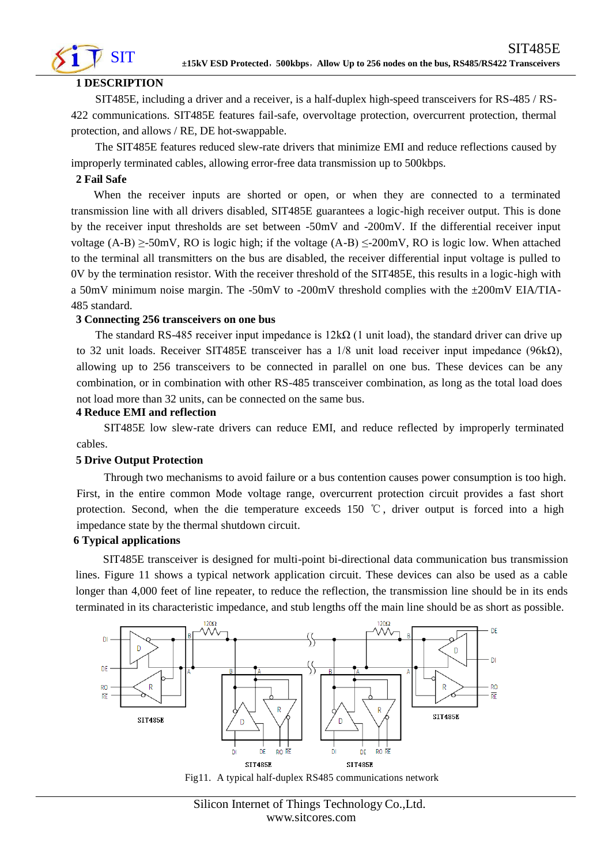

# **1 DESCRIPTION**

SIT485E, including a driver and a receiver, is a half-duplex high-speed transceivers for RS-485 / RS-422 communications. SIT485E features fail-safe, overvoltage protection, overcurrent protection, thermal protection, and allows / RE, DE hot-swappable.

The SIT485E features reduced slew-rate drivers that minimize EMI and reduce reflections caused by improperly terminated cables, allowing error-free data transmission up to 500kbps.

# **2 Fail Safe**

When the receiver inputs are shorted or open, or when they are connected to a terminated transmission line with all drivers disabled, SIT485E guarantees a logic-high receiver output. This is done by the receiver input thresholds are set between -50mV and -200mV. If the differential receiver input voltage (A-B)  $\geq$ -50mV, RO is logic high; if the voltage (A-B)  $\leq$ -200mV, RO is logic low. When attached to the terminal all transmitters on the bus are disabled, the receiver differential input voltage is pulled to 0V by the termination resistor. With the receiver threshold of the SIT485E, this results in a logic-high with a 50mV minimum noise margin. The -50mV to -200mV threshold complies with the ±200mV EIA/TIA-485 standard.

### **3 Connecting 256 transceivers on one bus**

The standard RS-485 receiver input impedance is  $12k\Omega$  (1 unit load), the standard driver can drive up to 32 unit loads. Receiver SIT485E transceiver has a 1/8 unit load receiver input impedance (96kΩ), allowing up to 256 transceivers to be connected in parallel on one bus. These devices can be any combination, or in combination with other RS-485 transceiver combination, as long as the total load does not load more than 32 units, can be connected on the same bus.

### **4 Reduce EMI and reflection**

SIT485E low slew-rate drivers can reduce EMI, and reduce reflected by improperly terminated cables.

### **5 Drive Output Protection**

Through two mechanisms to avoid failure or a bus contention causes power consumption is too high. First, in the entire common Mode voltage range, overcurrent protection circuit provides a fast short protection. Second, when the die temperature exceeds 150 °C, driver output is forced into a high impedance state by the thermal shutdown circuit.

### **6 Typical applications**

SIT485E transceiver is designed for multi-point bi-directional data communication bus transmission lines. Figure 11 shows a typical network application circuit. These devices can also be used as a cable longer than 4,000 feet of line repeater, to reduce the reflection, the transmission line should be in its ends terminated in its characteristic impedance, and stub lengths off the main line should be as short as possible.



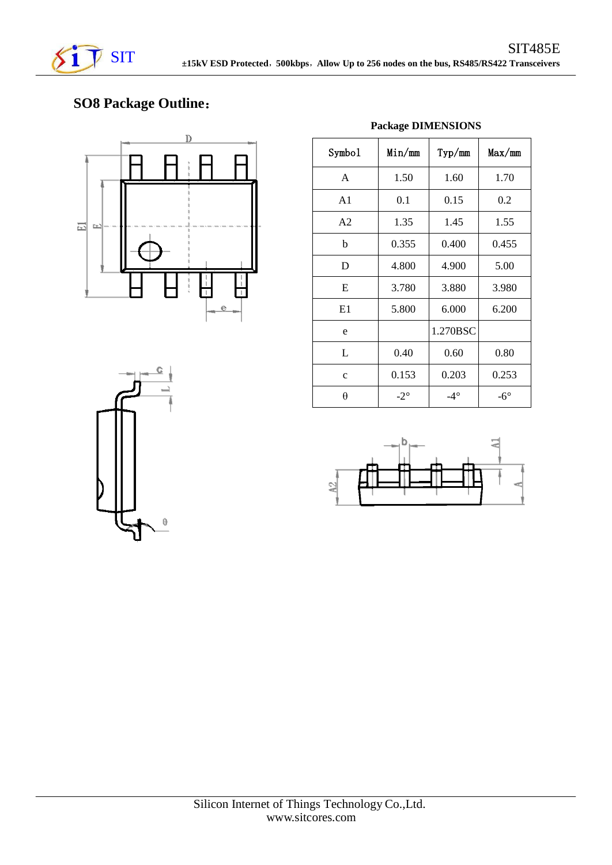

# **SO8 Package Outline**:



| Symbol         | Min/mm          | Typ/mm       | Max/mm       |
|----------------|-----------------|--------------|--------------|
| A              | 1.50            | 1.60         | 1.70         |
| A <sub>1</sub> | 0.1             | 0.15         | 0.2          |
| A <sub>2</sub> | 1.35            | 1.45         | 1.55         |
| b              | 0.355           | 0.400        | 0.455        |
| D              | 4.800           | 4.900        | 5.00         |
| E              | 3.780           | 3.880        | 3.980        |
| E1             | 5.800           | 6.000        | 6.200        |
| e              |                 | 1.270BSC     |              |
| L              | 0.40            | 0.60         | 0.80         |
| $\mathbf{c}$   | 0.153           | 0.203        | 0.253        |
| θ              | $-2$ $^{\circ}$ | $-4^{\circ}$ | $-6^{\circ}$ |

**Package DIMENSIONS**